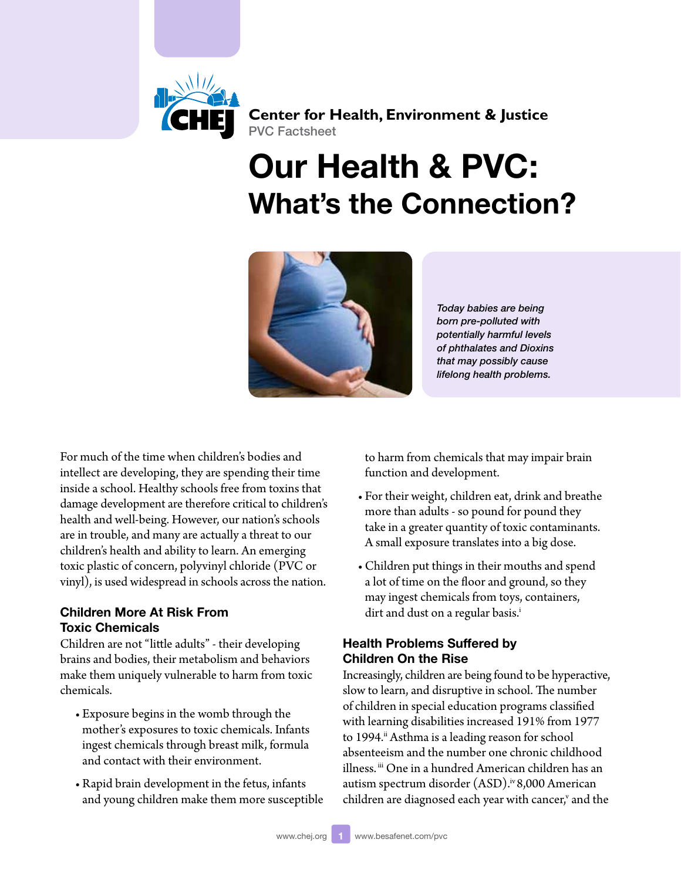

**Center for Health, Environment & Justice** PVC Factsheet

# Our Health & PVC: What's the Connection?



*Today babies are being born pre-polluted with potentially harmful levels of phthalates and Dioxins that may possibly cause lifelong health problems.* 

For much of the time when children's bodies and intellect are developing, they are spending their time inside a school. Healthy schools free from toxins that damage development are therefore critical to children's health and well-being. However, our nation's schools are in trouble, and many are actually a threat to our children's health and ability to learn. An emerging toxic plastic of concern, polyvinyl chloride (PVC or vinyl), is used widespread in schools across the nation.

### Children More At Risk From Toxic Chemicals

Children are not "little adults" - their developing brains and bodies, their metabolism and behaviors make them uniquely vulnerable to harm from toxic chemicals.

- • Exposure begins in the womb through the mother's exposures to toxic chemicals. Infants ingest chemicals through breast milk, formula and contact with their environment.
- • Rapid brain development in the fetus, infants and young children make them more susceptible

to harm from chemicals that may impair brain function and development.

- • For their weight, children eat, drink and breathe more than adults - so pound for pound they take in a greater quantity of toxic contaminants. A small exposure translates into a big dose.
- Children put things in their mouths and spend a lot of time on the floor and ground, so they may ingest chemicals from toys, containers, dirt and dust on a regular basis.<sup>i</sup>

# Health Problems Suffered by Children On the Rise

Increasingly, children are being found to be hyperactive, slow to learn, and disruptive in school. The number of children in special education programs classified with learning disabilities increased 191% from 1977 to 1994.<sup>ii</sup> Asthma is a leading reason for school absenteeism and the number one chronic childhood illness. [iii](#page-4-2) One in a hundred American children has an autism spectrum disorder (ASD).<sup>iv</sup> 8,000 American children are diagnosed each year with cancer,<sup>v</sup> and the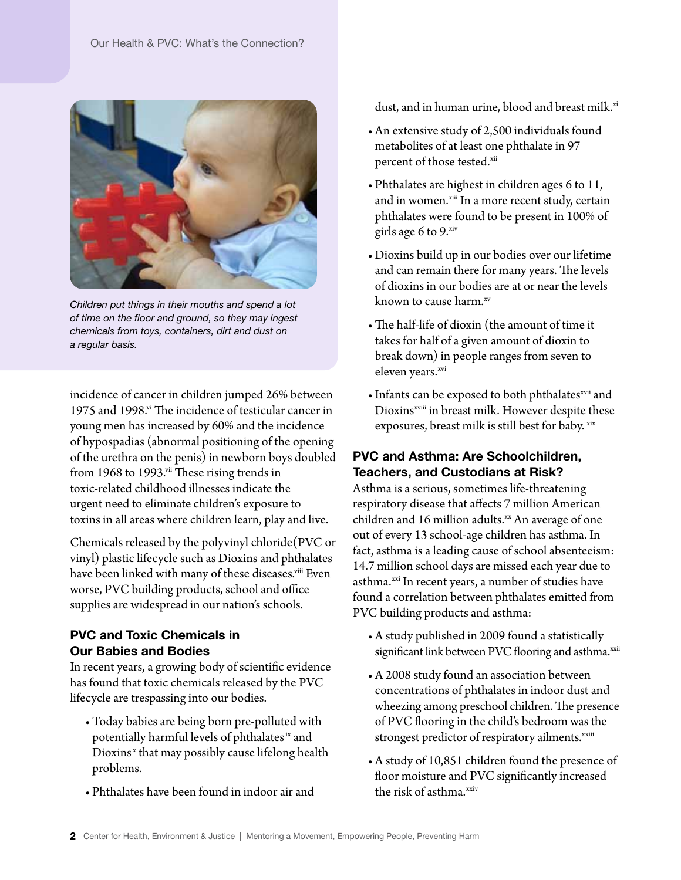

*Children put things in their mouths and spend a lot of time on the floor and ground, so they may ingest chemicals from toys, containers, dirt and dust on a regular basis.*

incidence of cancer in children jumped 26% between 1975 and 1998.<sup>vi</sup> The incidence of testicular cancer in young men has increased by 60% and the incidence of hypospadias (abnormal positioning of the opening of the urethra on the penis) in newborn boys doubled from 1968 to 1993.<sup>vii</sup> These rising trends in toxic-related childhood illnesses indicate the urgent need to eliminate children's exposure to toxins in all areas where children learn, play and live.

Chemicals released by the polyvinyl chloride(PVC or vinyl) plastic lifecycle such as Dioxins and phthalates have been linked with many of these diseases.<sup>viii</sup> Even worse, PVC building products, school and office supplies are widespread in our nation's schools.

## PVC and Toxic Chemicals in Our Babies and Bodies

In recent years, a growing body of scientific evidence has found that toxic chemicals released by the PVC lifecycle are trespassing into our bodies.

- Today babies are being born pre-polluted with potentially harmful levels of phthalates [ix](#page-5-0) and Dioxins<sup>x</sup> that may possibly cause lifelong health problems.
- Phthalates have been found in indoor air and

dust, and in human urine, blood and breast milk.<sup>xi</sup>

- An extensive study of 2,500 individuals found metabolites of at least one phthalate in 97 percent of those tested.[xii](#page-5-3)
- Phthalates are highest in children ages 6 to 11, and in women.<sup>xiii</sup> In a more recent study, certain phthalates were found to be present in 100% of girls age 6 to 9.[xiv](#page-5-5)
- • Dioxins build up in our bodies over our lifetime and can remain there for many years. The levels of dioxins in our bodies are at or near the levels known to cause harm.<sup>xv</sup>
- The half-life of dioxin (the amount of time it takes for half of a given amount of dioxin to break down) in people ranges from seven to eleven years.[xvi](#page-5-7)
- Infants can be exposed to both phthalates<sup>[xvii](#page-5-8)</sup> and Dioxins<sup>[xviii](#page-5-9)</sup> in breast milk. However despite these exposures, breast milk is still best for baby. [xix](#page-5-10)

# PVC and Asthma: Are Schoolchildren, Teachers, and Custodians at Risk?

Asthma is a serious, sometimes life-threatening respiratory disease that affects 7 million American children and 16 million adults. $x$ An average of one out of every 13 school-age children has asthma. In fact, asthma is a leading cause of school absenteeism: 14.7 million school days are missed each year due to asthma.<sup>xxi</sup> In recent years, a number of studies have found a correlation between phthalates emitted from PVC building products and asthma:

- • A study published in 2009 found a statistically significant link between PVC flooring and asthma.<sup>[xxii](#page-5-13)</sup>
- A 2008 study found an association between concentrations of phthalates in indoor dust and wheezing among preschool children. The presence of PVC flooring in the child's bedroom was the strongest predictor of respiratory ailments.<sup>xxiii</sup>
- A study of 10,851 children found the presence of floor moisture and PVC significantly increased the risk of asthma.<sup>xxiv</sup>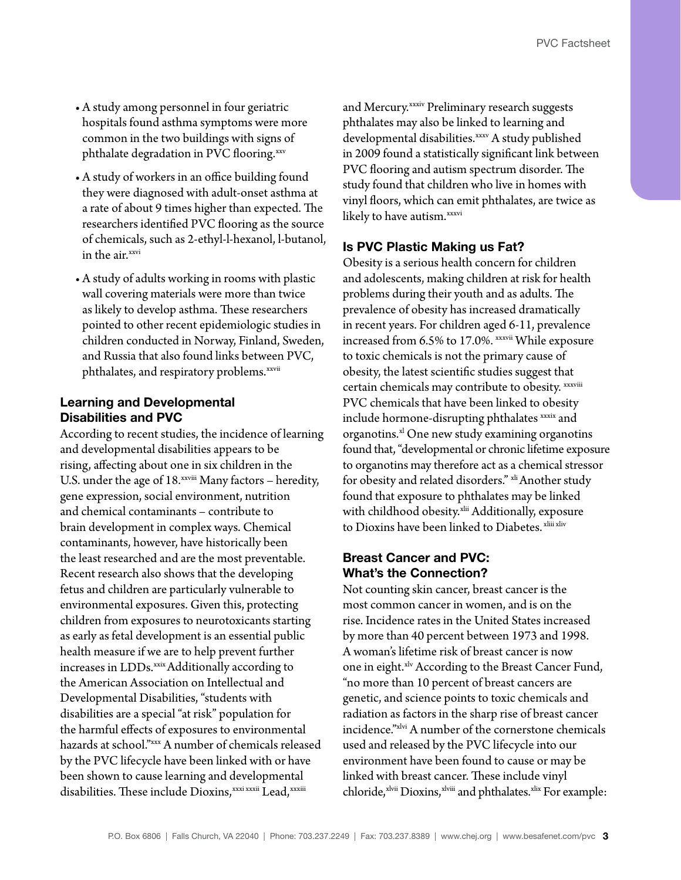- • A study among personnel in four geriatric hospitals found asthma symptoms were more common in the two buildings with signs of phthalate degradation in PVC flooring.[xxv](#page-5-16)
- • A study of workers in an office building found they were diagnosed with adult-onset asthma at a rate of about 9 times higher than expected. The researchers identified PVC flooring as the source of chemicals, such as 2-ethyl-l-hexanol, l-butanol, in the air.<sup>[xxvi](#page-5-17)</sup>
- • A study of adults working in rooms with plastic wall covering materials were more than twice as likely to develop asthma. These researchers pointed to other recent epidemiologic studies in children conducted in Norway, Finland, Sweden, and Russia that also found links between PVC, phthalates, and respiratory problems.<sup>[xxvii](#page-5-18)</sup>

#### Learning and Developmental Disabilities and PVC

According to recent studies, the incidence of learning and developmental disabilities appears to be rising, affecting about one in six children in the U.S. under the age of 18.<sup>[xxviii](#page-5-19)</sup> Many factors - heredity, gene expression, social environment, nutrition and chemical contaminants – contribute to brain development in complex ways. Chemical contaminants, however, have historically been the least researched and are the most preventable. Recent research also shows that the developing fetus and children are particularly vulnerable to environmental exposures. Given this, protecting children from exposures to neurotoxicants starting as early as fetal development is an essential public health measure if we are to help prevent further increases in LDDs.<sup>xxix</sup> Additionally according to the American Association on Intellectual and Developmental Disabilities, "students with disabilities are a special "at risk" population for the harmful effects of exposures to environmental hazards at school."[xxx](#page-5-21) A number of chemicals released by the PVC lifecycle have been linked with or have been shown to cause learning and developmental disabilities. These include Dioxins, [xxxi](#page-5-22) [xxxii](#page-6-0) Lead, [xxxiii](#page-6-1)

and Mercury.<sup>xxxiv</sup> Preliminary research suggests phthalates may also be linked to learning and developmental disabilities.[xxxv](#page-6-3) A study published in 2009 found a statistically significant link between PVC flooring and autism spectrum disorder. The study found that children who live in homes with vinyl floors, which can emit phthalates, are twice as likely to have autism.<sup>[xxxvi](#page-6-4)</sup>

#### Is PVC Plastic Making us Fat?

Obesity is a serious health concern for children and adolescents, making children at risk for health problems during their youth and as adults. The prevalence of obesity has increased dramatically in recent years. For children aged 6-11, prevalence increased from 6.5% to 17.0%. [xxxvii](#page-6-5) While exposure to toxic chemicals is not the primary cause of obesity, the latest scientific studies suggest that certain chemicals may contribute to obesity. [xxxviii](#page-6-6) PVC chemicals that have been linked to obesity include hormone-disrupting phthalates [xxxix](#page-6-7) and organotins. $x^{1}$  One new study examining organotins found that, "developmental or chronic lifetime exposure to organotins may therefore act as a chemical stressor for obesity and related disorders." [xli](#page-6-9) Another study found that exposure to phthalates may be linked with childhood obesity.<sup>xlii</sup> Additionally, exposure to Dioxins have been linked to Diabetes. [xliii](#page-6-11) [xliv](#page-6-12)

#### Breast Cancer and PVC: What's the Connection?

Not counting skin cancer, breast cancer is the most common cancer in women, and is on the rise. Incidence rates in the United States increased by more than 40 percent between 1973 and 1998. A woman's lifetime risk of breast cancer is now one in eight.<sup>[xlv](#page-6-13)</sup> According to the Breast Cancer Fund, "no more than 10 percent of breast cancers are genetic, and science points to toxic chemicals and radiation as factors in the sharp rise of breast cancer incidence."[xlvi](#page-6-14) A number of the cornerstone chemicals used and released by the PVC lifecycle into our environment have been found to cause or may be linked with breast cancer. These include vinyl chloride,<sup>xlvii</sup> Dioxins,<sup>[xlviii](#page-6-16)</sup> and phthalates.<sup>[xlix](#page-6-17)</sup> For example: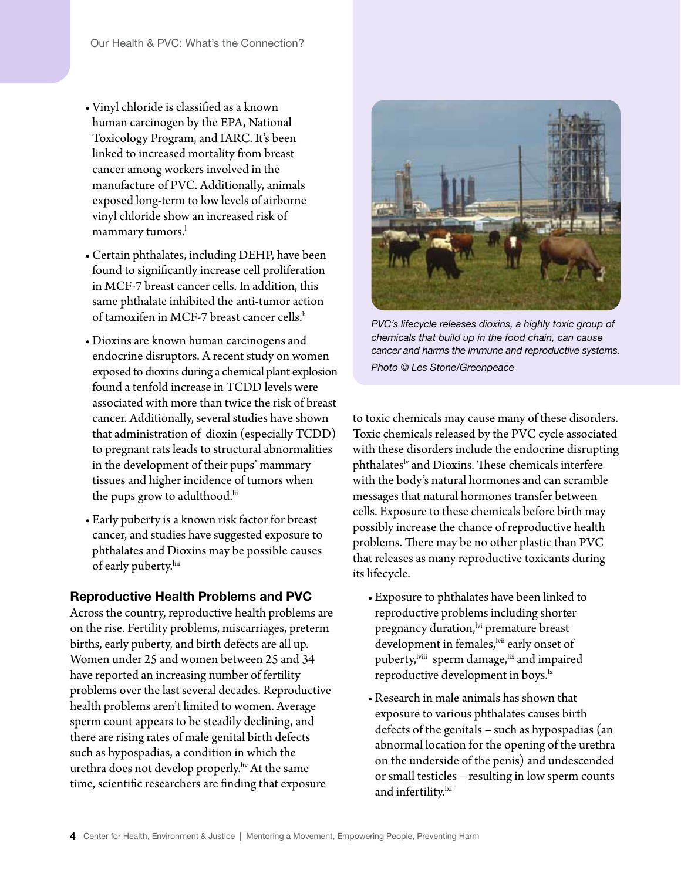- • Vinyl chloride is classified as a known human carcinogen by the EPA, National Toxicology Program, and IARC. It's been linked to increased mortality from breast cancer among workers involved in the manufacture of PVC. Additionally, animals exposed long-term to low levels of airborne vinyl chloride show an increased risk of mammary tumors.<sup>1</sup>
- • Certain phthalates, including DEHP, have been found to significantly increase cell proliferation in MCF-7 breast cancer cells. In addition, this same phthalate inhibited the anti-tumor action of tamoxifen in MCF-7 breast cancer cells.<sup>[li](#page-6-19)</sup>
- Dioxins are known human carcinogens and endocrine disruptors. A recent study on women exposed to dioxins during a chemical plant explosion found a tenfold increase in TCDD levels were associated with more than twice the risk of breast cancer. Additionally, several studies have shown that administration of dioxin (especially TCDD) to pregnant rats leads to structural abnormalities in the development of their pups' mammary tissues and higher incidence of tumors when the pups grow to adulthood.<sup>lii</sup>
- Early puberty is a known risk factor for breast cancer, and studies have suggested exposure to phthalates and Dioxins may be possible causes of early puberty.<sup>liii</sup>

#### Reproductive Health Problems and PVC

Across the country, reproductive health problems are on the rise. Fertility problems, miscarriages, preterm births, early puberty, and birth defects are all up. Women under 25 and women between 25 and 34 have reported an increasing number of fertility problems over the last several decades. Reproductive health problems aren't limited to women. Average sperm count appears to be steadily declining, and there are rising rates of male genital birth defects such as hypospadias, a condition in which the urethra does not develop properly.<sup>liv</sup> At the same time, scientific researchers are finding that exposure



*PVC's lifecycle releases dioxins, a highly toxic group of chemicals that build up in the food chain, can cause cancer and harms the immune and reproductive systems. Photo © Les Stone/Greenpeace* 

to toxic chemicals may cause many of these disorders. Toxic chemicals released by the PVC cycle associated with these disorders include the endocrine disrupting phthalates<sup>lv</sup> and Dioxins. These chemicals interfere with the body's natural hormones and can scramble messages that natural hormones transfer between cells. Exposure to these chemicals before birth may possibly increase the chance of reproductive health problems. There may be no other plastic than PVC that releases as many reproductive toxicants during its lifecycle.

- Exposure to phthalates have been linked to reproductive problems including shorter pregnancy duration, vi premature breast development in females, vii early onset of puberty, <sup>[lviii](#page-7-6)</sup> sperm damage, <sup>lix</sup> and impaired reproductive development in boys.<sup>1x</sup>
- • Research in male animals has shown that exposure to various phthalates causes birth defects of the genitals – such as hypospadias (an abnormal location for the opening of the urethra on the underside of the penis) and undescended or small testicles – resulting in low sperm counts and infertility.<sup>lxi</sup>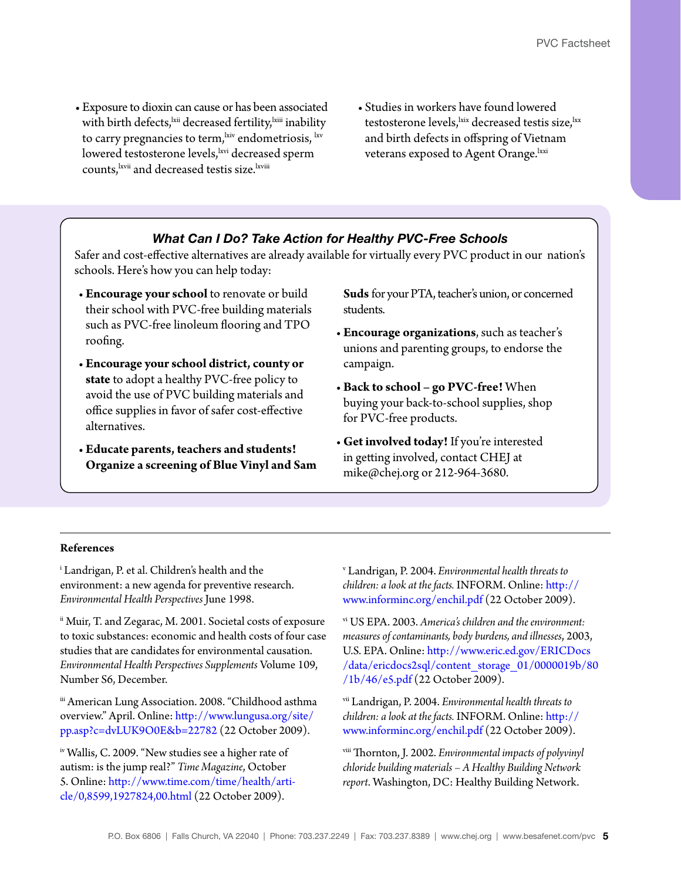- Exposure to dioxin can cause or has been associated with birth defects, <sup>kii</sup> decreased fertility, <sup>kiii</sup> inability to carry pregnancies to term,  $\frac{1}{1}$  endometriosis,  $\frac{1}{1}$  kv lowered testosterone levels, kvi decreased sperm counts, [lxvii](#page-7-15) and decreased testis size. [lxviii](#page-7-16)
- • Studies in workers have found lowered testosterone levels, kix decreased testis size, kx and birth defects in offspring of Vietnam veterans exposed to Agent Orange. kxi

#### *What Can I Do? Take Action for Healthy PVC-Free Schools*

Safer and cost-effective alternatives are already available for virtually every PVC product in our nation's schools. Here's how you can help today:

- **Encourage your school** to renovate or build their school with PVC-free building materials such as PVC-free linoleum flooring and TPO roofing.
- **Encourage your school district, county or state** to adopt a healthy PVC-free policy to avoid the use of PVC building materials and office supplies in favor of safer cost-effective alternatives.
- • **Educate parents, teachers and students! Organize a screening of Blue Vinyl and Sam**

Suds for your PTA, teacher's union, or concerned students.

- • **Encourage organizations**, such as teacher's unions and parenting groups, to endorse the campaign.
- • **Back to school go PVC-free!** When buying your back-to-school supplies, shop for PVC-free products.
- • **Get involved today!** If you're interested in getting involved, contact CHEJ at mike@chej.org or 212-964-3680.

#### **References**

<span id="page-4-0"></span>i Landrigan, P. et al. Children's health and the environment: a new agenda for preventive research. *Environmental Health Perspectives* June 1998.

<span id="page-4-1"></span>ii Muir, T. and Zegarac, M. 2001. Societal costs of exposure to toxic substances: economic and health costs of four case studies that are candidates for environmental causation. *Environmental Health Perspectives Supplements* Volume 109, Number S6, December.

<span id="page-4-2"></span>iii American Lung Association. 2008. "Childhood asthma overview." April. Online: [http://www.lungusa.org/site/](http://www.lungusa.org/site/pp.asp?c=dvLUK9O0E&b=22782) [pp.asp?c=dvLUK9O0E&b=22782](http://www.lungusa.org/site/pp.asp?c=dvLUK9O0E&b=22782) (22 October 2009).

<span id="page-4-3"></span>iv Wallis, C. 2009. "New studies see a higher rate of autism: is the jump real?" *Time Magazine*, October 5. Online: [http://www.time.com/time/health/arti](http://www.time.com/time/health/article/0,8599,1927824,00.html)[cle/0,8599,1927824,00.html](http://www.time.com/time/health/article/0,8599,1927824,00.html) (22 October 2009).

<span id="page-4-4"></span>v Landrigan, P. 2004. *Environmental health threats to children: a look at the facts.* INFORM. Online: [http://](http://www.informinc.org/enchil.pdf) [www.informinc.org/enchil.pdf](http://www.informinc.org/enchil.pdf) (22 October 2009).

<span id="page-4-5"></span>vi US EPA. 2003. *America's children and the environment: measures of contaminants, body burdens, and illnesses*, 2003, U.S. EPA. Online: [http://www.eric.ed.gov/ERICDocs](http://www.eric.ed.gov/ERICDocs/data/ericdocs2sql/content_storage_01/0000019b/80/1b/46/e5.pdf) [/data/ericdocs2sql/content\\_storage\\_01/0000019b/80](http://www.eric.ed.gov/ERICDocs/data/ericdocs2sql/content_storage_01/0000019b/80/1b/46/e5.pdf) [/1b/46/e5.pdf](http://www.eric.ed.gov/ERICDocs/data/ericdocs2sql/content_storage_01/0000019b/80/1b/46/e5.pdf) (22 October 2009).

<span id="page-4-6"></span>vii Landrigan, P. 2004. *Environmental health threats to children: a look at the facts.* INFORM. Online: [http://](http://www.informinc.org/enchil.pdf) [www.informinc.org/enchil.pdf](http://www.informinc.org/enchil.pdf) (22 October 2009).

<span id="page-4-7"></span>viii Thornton, J. 2002. *Environmental impacts of polyvinyl chloride building materials – A Healthy Building Network report*. Washington, DC: Healthy Building Network.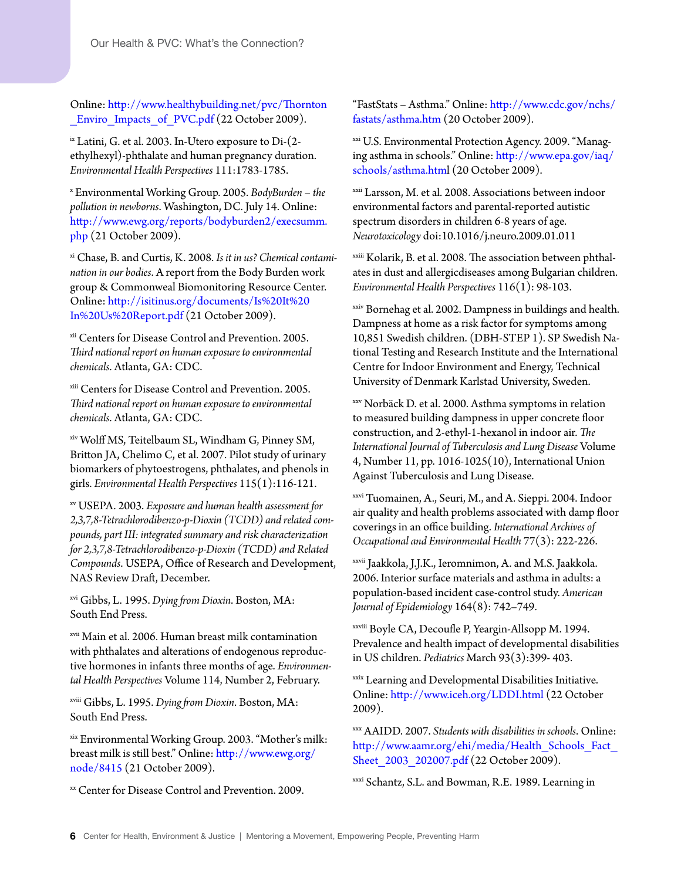Online: [http://www.healthybuilding.net/pvc/Thornton](http://www.healthybuilding.net/pvc/Thornton_Enviro_Impacts_of_PVC.pdf) Enviro Impacts of PVC.pdf (22 October 2009).

<span id="page-5-0"></span>ix Latini, G. et al. 2003. In-Utero exposure to Di-(2 ethylhexyl)-phthalate and human pregnancy duration. *Environmental Health Perspectives* 111:1783-1785.

<span id="page-5-1"></span><sup>x</sup> Environmental Working Group. 2005. *BodyBurden – the pollution in newborns*. Washington, DC. July 14. Online: [http://www.ewg.org/reports/bodyburden2/execsumm.](http://www.ewg.org/reports/bodyburden2/execsumm.php) [php](http://www.ewg.org/reports/bodyburden2/execsumm.php) (21 October 2009).

<span id="page-5-2"></span>xi Chase, B. and Curtis, K. 2008. *Is it in us? Chemical contamination in our bodies*. A report from the Body Burden work group & Commonweal Biomonitoring Resource Center. Online: [http://isitinus.org/documents/Is%20It%20](http://isitinus.org/documents/Is%20It%20In%20Us%20Report.pdf) [In%20Us%20Report.pdf](http://isitinus.org/documents/Is%20It%20In%20Us%20Report.pdf) (21 October 2009).

<span id="page-5-3"></span>xii Centers for Disease Control and Prevention. 2005. *Third national report on human exposure to environmental chemicals*. Atlanta, GA: CDC.

<span id="page-5-4"></span>xiii Centers for Disease Control and Prevention. 2005. *Third national report on human exposure to environmental chemicals*. Atlanta, GA: CDC.

<span id="page-5-5"></span>xiv Wolff MS, Teitelbaum SL, Windham G, Pinney SM, Britton JA, Chelimo C, et al. 2007. Pilot study of urinary biomarkers of phytoestrogens, phthalates, and phenols in girls. *Environmental Health Perspectives* 115(1):116-121.

<span id="page-5-6"></span>xv USEPA. 2003. *Exposure and human health assessment for 2,3,7,8-Tetrachlorodibenzo-p-Dioxin (TCDD) and related compounds, part III: integrated summary and risk characterization for 2,3,7,8-Tetrachlorodibenzo-p-Dioxin (TCDD) and Related Compounds*. USEPA, Office of Research and Development, NAS Review Draft, December.

<span id="page-5-7"></span>xvi Gibbs, L. 1995. *Dying from Dioxin*. Boston, MA: South End Press.

<span id="page-5-8"></span>xvii Main et al. 2006. Human breast milk contamination with phthalates and alterations of endogenous reproductive hormones in infants three months of age. *Environmental Health Perspectives* Volume 114, Number 2, February.

<span id="page-5-9"></span>xviii Gibbs, L. 1995. *Dying from Dioxin*. Boston, MA: South End Press.

<span id="page-5-10"></span>xix Environmental Working Group. 2003. "Mother's milk: breast milk is still best." Online: [http://www.ewg.org/](http://www.ewg.org/node/8415) [node/8415](http://www.ewg.org/node/8415) (21 October 2009).

<span id="page-5-11"></span>xx Center for Disease Control and Prevention. 2009.

"FastStats – Asthma." Online: [http://www.cdc.gov/nchs/](http://www.cdc.gov/nchs/fastats/asthma.htm) [fastats/asthma.htm](http://www.cdc.gov/nchs/fastats/asthma.htm) (20 October 2009).

<span id="page-5-12"></span>xxi U.S. Environmental Protection Agency. 2009. "Managing asthma in schools." Online: [http://www.epa.gov/iaq/](http://www.epa.gov/iaq/schools/asthma.html) [schools/asthma.html](http://www.epa.gov/iaq/schools/asthma.html) (20 October 2009).

<span id="page-5-13"></span>xxii Larsson, M. et al. 2008. Associations between indoor environmental factors and parental-reported autistic spectrum disorders in children 6-8 years of age. *Neurotoxicology* doi:10.1016/j.neuro.2009.01.011

<span id="page-5-14"></span>xxiii Kolarik, B. et al. 2008. The association between phthalates in dust and allergicdiseases among Bulgarian children. *Environmental Health Perspectives* 116(1): 98-103.

<span id="page-5-15"></span>xxiv Bornehag et al. 2002. Dampness in buildings and health. Dampness at home as a risk factor for symptoms among 10,851 Swedish children. (DBH-STEP 1). SP Swedish National Testing and Research Institute and the International Centre for Indoor Environment and Energy, Technical University of Denmark Karlstad University, Sweden.

<span id="page-5-16"></span>xxv Norbäck D. et al. 2000. Asthma symptoms in relation to measured building dampness in upper concrete floor construction, and 2-ethyl-1-hexanol in indoor air. *The International Journal of Tuberculosis and Lung Disease* Volume 4, Number 11, pp. 1016-1025(10), International Union Against Tuberculosis and Lung Disease.

<span id="page-5-17"></span>xxvi Tuomainen, A., Seuri, M., and A. Sieppi. 2004. Indoor air quality and health problems associated with damp floor coverings in an office building. *International Archives of Occupational and Environmental Health* 77(3): 222-226.

<span id="page-5-18"></span>xxvii Jaakkola, J.J.K., Ieromnimon, A. and M.S. Jaakkola. 2006. Interior surface materials and asthma in adults: a population-based incident case-control study. *American Journal of Epidemiology* 164(8): 742–749.

<span id="page-5-19"></span>xxviii Boyle CA, Decoufle P, Yeargin-Allsopp M. 1994. Prevalence and health impact of developmental disabilities in US children. *Pediatrics* March 93(3):399- 403.

<span id="page-5-20"></span>xxix Learning and Developmental Disabilities Initiative. Online:<http://www.iceh.org/LDDI.html>(22 October 2009).

<span id="page-5-21"></span>xxx AAIDD. 2007. *Students with disabilities in schools*. Online: [http://www.aamr.org/ehi/media/Health\\_Schools\\_Fact\\_](http://www.aamr.org/ehi/media/Health_Schools_Fact_Sheet_2003_202007.pdf) Sheet 2003 202007.pdf (22 October 2009).

<span id="page-5-22"></span>xxxi Schantz, S.L. and Bowman, R.E. 1989. Learning in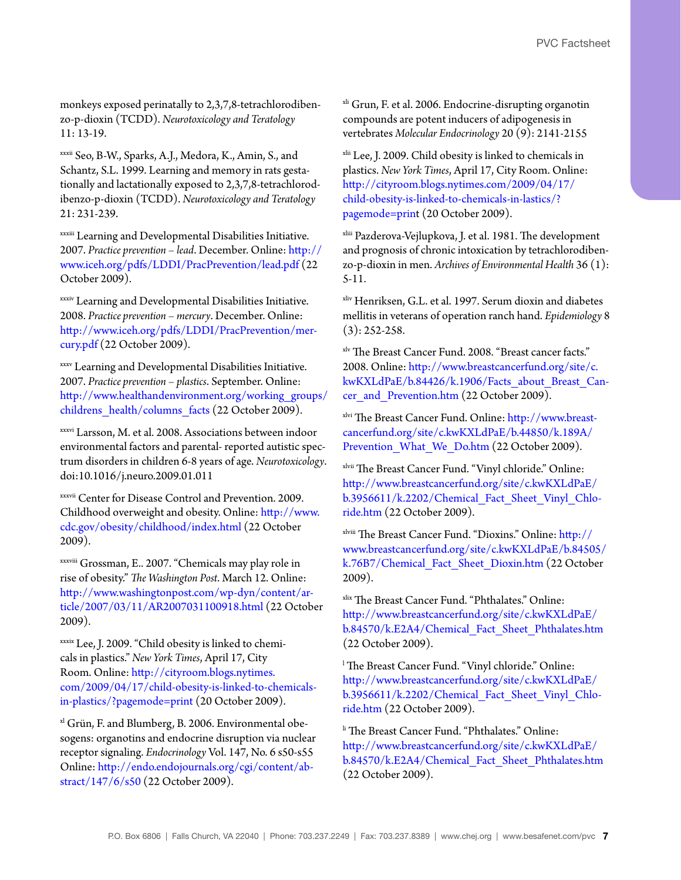monkeys exposed perinatally to 2,3,7,8-tetrachlorodibenzo-p-dioxin (TCDD). *Neurotoxicology and Teratology* 11: 13-19.

<span id="page-6-0"></span>xxxii Seo, B-W., Sparks, A.J., Medora, K., Amin, S., and Schantz, S.L. 1999. Learning and memory in rats gestationally and lactationally exposed to 2,3,7,8-tetrachlorodibenzo-p-dioxin (TCDD). *Neurotoxicology and Teratology* 21: 231-239.

<span id="page-6-1"></span>xxxiii Learning and Developmental Disabilities Initiative. 2007. *Practice prevention – lead*. December. Online: [http://](http://www.iceh.org/pdfs/LDDI/PracPrevention/lead.pdf) [www.iceh.org/pdfs/LDDI/PracPrevention/lead.pdf](http://www.iceh.org/pdfs/LDDI/PracPrevention/lead.pdf) (22 October 2009).

<span id="page-6-2"></span>xxxiv Learning and Developmental Disabilities Initiative. 2008. *Practice prevention – mercury*. December. Online: [http://www.iceh.org/pdfs/LDDI/PracPrevention/mer](http://www.iceh.org/pdfs/LDDI/PracPrevention/mercury.pdf)[cury.pdf \(](http://www.iceh.org/pdfs/LDDI/PracPrevention/mercury.pdf)22 October 2009).

<span id="page-6-3"></span>xxxv Learning and Developmental Disabilities Initiative. 2007. *Practice prevention – plastics*. September. Online: [http://www.healthandenvironment.org/working\\_groups/](http://www.healthandenvironment.org/working_groups/childrens_health/columns_facts) [childrens\\_health/columns\\_facts](http://www.healthandenvironment.org/working_groups/childrens_health/columns_facts) (22 October 2009).

<span id="page-6-4"></span>xxxvi Larsson, M. et al. 2008. Associations between indoor environmental factors and parental- reported autistic spectrum disorders in children 6-8 years of age. *Neurotoxicology*. doi:10.1016/j.neuro.2009.01.011

<span id="page-6-5"></span>xxxvii Center for Disease Control and Prevention. 2009. Childhood overweight and obesity. Online: [http://www.](http://www.cdc.gov/obesity/childhood/index.html) [cdc.gov/obesity/childhood/index.html](http://www.cdc.gov/obesity/childhood/index.html) (22 October 2009).

<span id="page-6-6"></span>xxxviii Grossman, E.. 2007. "Chemicals may play role in rise of obesity." *The Washington Post*. March 12. Online: [http://www.washingtonpost.com/wp-dyn/content/ar](http://www.washingtonpost.com/wp-dyn/content/article/2007/03/11/AR2007031100918.html)[ticle/2007/03/11/AR2007031100918.html](http://www.washingtonpost.com/wp-dyn/content/article/2007/03/11/AR2007031100918.html) (22 October 2009).

<span id="page-6-7"></span>xxxix Lee, J. 2009. "Child obesity is linked to chemicals in plastics." *New York Times*, April 17, City Room. Online: [http://cityroom.blogs.nytimes.](http://cityroom.blogs.nytimes.com/2009/04/17/child-obesity-is-linked-to-chemicals-in-plastics/?pagemode=print) [com/2009/04/17/child-obesity-is-linked-to-chemicals](http://cityroom.blogs.nytimes.com/2009/04/17/child-obesity-is-linked-to-chemicals-in-plastics/?pagemode=print)[in-plastics/?pagemode=print \(](http://cityroom.blogs.nytimes.com/2009/04/17/child-obesity-is-linked-to-chemicals-in-plastics/?pagemode=print)20 October 2009).

<span id="page-6-8"></span><sup>xl</sup> Grün, F. and Blumberg, B. 2006. Environmental obesogens: organotins and endocrine disruption via nuclear receptor signaling. *Endocrinology* Vol. 147, No. 6 s50-s55 Online: [http://endo.endojournals.org/cgi/content/ab](http://endo.endojournals.org/cgi/content/abstract/147/6/s50)[stract/147/6/s50](http://endo.endojournals.org/cgi/content/abstract/147/6/s50) (22 October 2009).

<span id="page-6-9"></span><sup>xli</sup> Grun, F. et al. 2006. Endocrine-disrupting organotin compounds are potent inducers of adipogenesis in vertebrates *Molecular Endocrinology* 20 (9): 2141-2155

<span id="page-6-10"></span>xlii Lee, J. 2009. Child obesity is linked to chemicals in plastics. *New York Times*, April 17, City Room. Online: [http://cityroom.blogs.nytimes.com/2009/04/17/](http://cityroom.blogs.nytimes.com/2009/04/17/child-obesity-is-linked-to-chemicals-in-plastics/?pagemode=print) [child-obesity-is-linked-to-chemicals-in-lastics/?](http://cityroom.blogs.nytimes.com/2009/04/17/child-obesity-is-linked-to-chemicals-in-plastics/?pagemode=print) [pagemode=prin](http://cityroom.blogs.nytimes.com/2009/04/17/child-obesity-is-linked-to-chemicals-in-plastics/?pagemode=print)t (20 October 2009).

<span id="page-6-11"></span>xliii Pazderova-Vejlupkova, J. et al. 1981. The development and prognosis of chronic intoxication by tetrachlorodibenzo-p-dioxin in men. *Archives of Environmental Health* 36 (1): 5-11.

<span id="page-6-12"></span>xliv Henriksen, G.L. et al. 1997. Serum dioxin and diabetes mellitis in veterans of operation ranch hand. *Epidemiology* 8 (3): 252-258.

<span id="page-6-13"></span>xlv The Breast Cancer Fund. 2008. "Breast cancer facts." 2008. Online: [http://www.breastcancerfund.org/site/c.](http://www.breastcancerfund.org/site/c.kwKXLdPaE/b.84426/k.1906/Facts_about_Breast_Cancer_and_Prevention.htm) [kwKXLdPaE/b.84426/k.1906/Facts\\_about\\_Breast\\_Can](http://www.breastcancerfund.org/site/c.kwKXLdPaE/b.84426/k.1906/Facts_about_Breast_Cancer_and_Prevention.htm)[cer\\_and\\_Prevention.htm](http://www.breastcancerfund.org/site/c.kwKXLdPaE/b.84426/k.1906/Facts_about_Breast_Cancer_and_Prevention.htm) (22 October 2009).

<span id="page-6-14"></span>xlvi The Breast Cancer Fund. Online[: http://www.breast](http://www.breastcancerfund.org/site/c.kwKXLdPaE/b.44850/k.189A/Prevention_What_We_Do.htm)[cancerfund.org/site/c.kwKXLdPaE/b.44850/k.189A/](http://www.breastcancerfund.org/site/c.kwKXLdPaE/b.44850/k.189A/Prevention_What_We_Do.htm) Prevention What We Do.htm (22 October 2009).

<span id="page-6-15"></span>xlvii The Breast Cancer Fund. "Vinyl chloride." Online: [http://www.breastcancerfund.org/site/c.kwKXLdPaE/](http://www.breastcancerfund.org/site/c.kwKXLdPaE/b.3956611/k.2202/Chemical_Fact_Sheet_Vinyl_Chloride.htm) b.3956611/k.2202/Chemical Fact Sheet Vinyl Chlo[ride.htm](http://www.breastcancerfund.org/site/c.kwKXLdPaE/b.3956611/k.2202/Chemical_Fact_Sheet_Vinyl_Chloride.htm) (22 October 2009).

<span id="page-6-16"></span>xlviii The Breast Cancer Fund. "Dioxins." Online: [http://](http://www.breastcancerfund.org/site/c.kwKXLdPaE/b.84505/k.76B7/Chemical_Fact_Sheet_Dioxin.htm) [www.breastcancerfund.org/site/c.kwKXLdPaE/b.84505/](http://www.breastcancerfund.org/site/c.kwKXLdPaE/b.84505/k.76B7/Chemical_Fact_Sheet_Dioxin.htm) k.76B7/Chemical Fact Sheet Dioxin.htm (22 October 2009).

<span id="page-6-17"></span>xlix The Breast Cancer Fund. "Phthalates." Online: [http://www.breastcancerfund.org/site/c.kwKXLdPaE/](http://www.breastcancerfund.org/site/c.kwKXLdPaE/b.84570/k.E2A4/Chemical_Fact_Sheet_Phthalates.htm) [b.84570/k.E2A4/Chemical\\_Fact\\_Sheet\\_Phthalates.htm](http://www.breastcancerfund.org/site/c.kwKXLdPaE/b.84570/k.E2A4/Chemical_Fact_Sheet_Phthalates.htm) (22 October 2009).

<span id="page-6-18"></span>l The Breast Cancer Fund. "Vinyl chloride." Online: [http://www.breastcancerfund.org/site/c.kwKXLdPaE/](http://www.breastcancerfund.org/site/c.kwKXLdPaE/b.3956611/k.2202/Chemical_Fact_Sheet_Vinyl_Chloride.htm) [b.3956611/k.2202/Chemical\\_Fact\\_Sheet\\_Vinyl\\_Chlo](http://www.breastcancerfund.org/site/c.kwKXLdPaE/b.3956611/k.2202/Chemical_Fact_Sheet_Vinyl_Chloride.htm)[ride.htm](http://www.breastcancerfund.org/site/c.kwKXLdPaE/b.3956611/k.2202/Chemical_Fact_Sheet_Vinyl_Chloride.htm) (22 October 2009).

<span id="page-6-19"></span>li The Breast Cancer Fund. "Phthalates." Online: [http://www.breastcancerfund.org/site/c.kwKXLdPaE/](http://www.breastcancerfund.org/site/c.kwKXLdPaE/b.84570/k.E2A4/Chemical_Fact_Sheet_Phthalates.htm) [b.84570/k.E2A4/Chemical\\_Fact\\_Sheet\\_Phthalates.htm](http://www.breastcancerfund.org/site/c.kwKXLdPaE/b.84570/k.E2A4/Chemical_Fact_Sheet_Phthalates.htm) (22 October 2009).